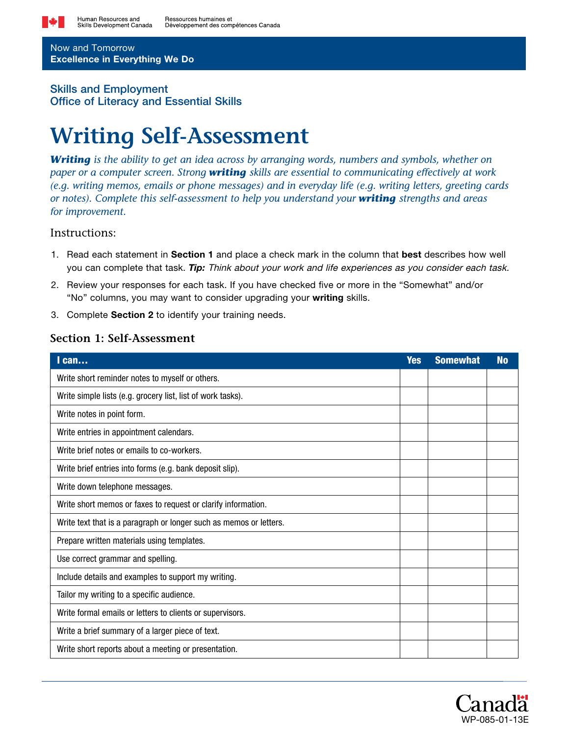

Now and Tomorrow Excellence in Everything We Do

## Skills and Employment Office of Literacy and Essential Skills

# **Writing Self-Assessment**

*Writing is the ability to get an idea across by arranging words, numbers and symbols, whether on paper or a computer screen. Strong writing skills are essential to communicating effectively at work (e.g. writing memos, emails or phone messages) and in everyday life (e.g. writing letters, greeting cards or notes). Complete this self-assessment to help you understand your writing strengths and areas for improvement.*

## Instructions:

- 1. Read each statement in Section 1 and place a check mark in the column that best describes how well you can complete that task. *Tip:* Think about your work and life experiences as you consider each task.
- 2. Review your responses for each task. If you have checked five or more in the "Somewhat" and/or "No" columns, you may want to consider upgrading your writing skills.
- 3. Complete Section 2 to identify your training needs.

#### **Section 1: Self-Assessment**

| $l$ can                                                            | <b>Yes</b> | <b>Somewhat</b> | <b>No</b> |
|--------------------------------------------------------------------|------------|-----------------|-----------|
| Write short reminder notes to myself or others.                    |            |                 |           |
| Write simple lists (e.g. grocery list, list of work tasks).        |            |                 |           |
| Write notes in point form.                                         |            |                 |           |
| Write entries in appointment calendars.                            |            |                 |           |
| Write brief notes or emails to co-workers.                         |            |                 |           |
| Write brief entries into forms (e.g. bank deposit slip).           |            |                 |           |
| Write down telephone messages.                                     |            |                 |           |
| Write short memos or faxes to request or clarify information.      |            |                 |           |
| Write text that is a paragraph or longer such as memos or letters. |            |                 |           |
| Prepare written materials using templates.                         |            |                 |           |
| Use correct grammar and spelling.                                  |            |                 |           |
| Include details and examples to support my writing.                |            |                 |           |
| Tailor my writing to a specific audience.                          |            |                 |           |
| Write formal emails or letters to clients or supervisors.          |            |                 |           |
| Write a brief summary of a larger piece of text.                   |            |                 |           |
| Write short reports about a meeting or presentation.               |            |                 |           |

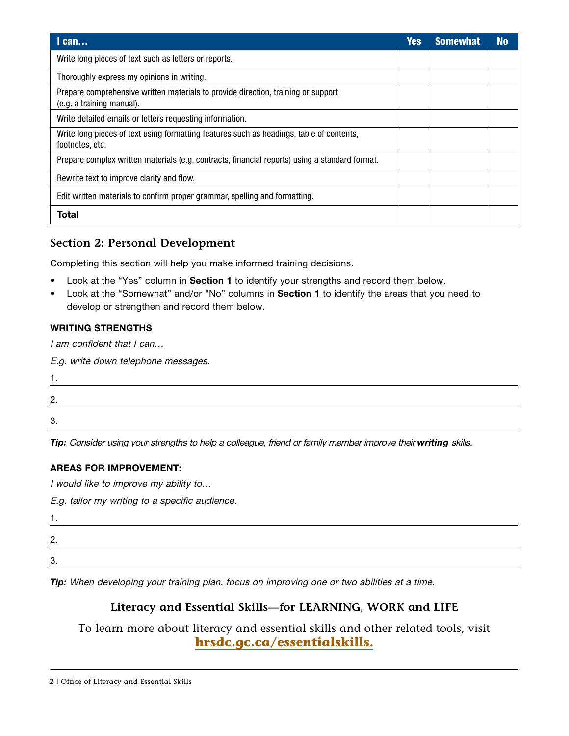| $l$ can                                                                                                        | <b>Yes</b> | <b>Somewhat</b> | <b>No</b> |
|----------------------------------------------------------------------------------------------------------------|------------|-----------------|-----------|
| Write long pieces of text such as letters or reports.                                                          |            |                 |           |
| Thoroughly express my opinions in writing.                                                                     |            |                 |           |
| Prepare comprehensive written materials to provide direction, training or support<br>(e.g. a training manual). |            |                 |           |
| Write detailed emails or letters requesting information.                                                       |            |                 |           |
| Write long pieces of text using formatting features such as headings, table of contents,<br>footnotes, etc.    |            |                 |           |
| Prepare complex written materials (e.g. contracts, financial reports) using a standard format.                 |            |                 |           |
| Rewrite text to improve clarity and flow.                                                                      |            |                 |           |
| Edit written materials to confirm proper grammar, spelling and formatting.                                     |            |                 |           |
| <b>Total</b>                                                                                                   |            |                 |           |

## **Section 2: Personal Development**

Completing this section will help you make informed training decisions.

- Look at the "Yes" column in Section 1 to identify your strengths and record them below.
- Look at the "Somewhat" and/or "No" columns in Section 1 to identify the areas that you need to develop or strengthen and record them below.

#### WRITING STRENGTHS

I am confident that I can...

E.g. write down telephone messages.

| n       |  |  |
|---------|--|--|
| ◠<br>J. |  |  |

*Tip:* Consider using your strengths to help a colleague, friend or family member improve their *writing* skills.

#### AREAS FOR IMPROVEMENT:

I would like to improve my ability to…

E.g. tailor my writing to a specific audience.

| n<br><u>.</u><br>C |  |  |  |
|--------------------|--|--|--|
|                    |  |  |  |
|                    |  |  |  |

**Tip:** When developing your training plan, focus on improving one or two abilities at a time.

# **Literacy and Essential Skills—for LEARNING, WORK and LIFE**

To learn more about literacy and essential skills and other related tools, visit **[hrsdc.gc.ca/essentialskills.](http://hrsdc.gc.ca/essentialskills)**